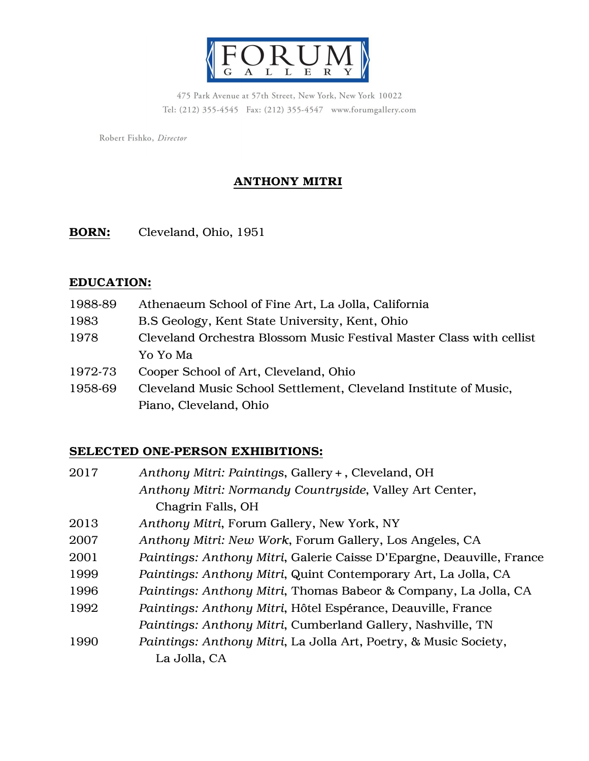

475 Park Avenue at 57th Street, New York, New York 10022 Tel: (212) 355-4545 Fax: (212) 355-4547 www.forumgallery.com

Robert Fishko, Director

# ANTHONY MITRI

BORN: Cleveland, Ohio, 1951

#### EDUCATION:

1988-89 Athenaeum School of Fine Art, La Jolla, California 1983 B.S Geology, Kent State University, Kent, Ohio 1978 Cleveland Orchestra Blossom Music Festival Master Class with cellist Yo Yo Ma 1972-73 Cooper School of Art, Cleveland, Ohio 1958-69 Cleveland Music School Settlement, Cleveland Institute of Music, Piano, Cleveland, Ohio

### SELECTED ONE-PERSON EXHIBITIONS:

| Anthony Mitri: Paintings, Gallery +, Cleveland, OH                    |
|-----------------------------------------------------------------------|
| Anthony Mitri: Normandy Countryside, Valley Art Center,               |
| Chagrin Falls, OH                                                     |
| Anthony Mitri, Forum Gallery, New York, NY                            |
| Anthony Mitri: New Work, Forum Gallery, Los Angeles, CA               |
| Paintings: Anthony Mitri, Galerie Caisse D'Epargne, Deauville, France |
| Paintings: Anthony Mitri, Quint Contemporary Art, La Jolla, CA        |
| Paintings: Anthony Mitri, Thomas Babeor & Company, La Jolla, CA       |
| Paintings: Anthony Mitri, Hôtel Espérance, Deauville, France          |
| Paintings: Anthony Mitri, Cumberland Gallery, Nashville, TN           |
| Paintings: Anthony Mitri, La Jolla Art, Poetry, & Music Society,      |
| La Jolla, CA                                                          |
|                                                                       |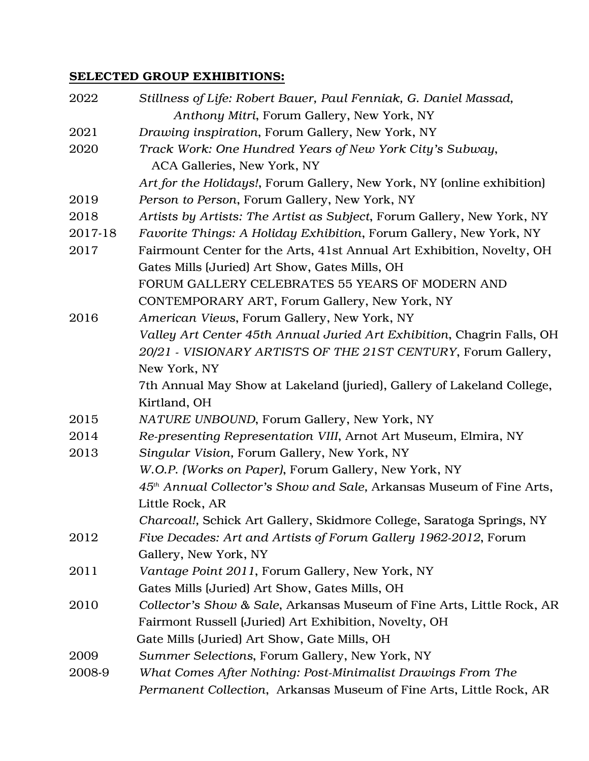## SELECTED GROUP EXHIBITIONS:

| 2022    | Stillness of Life: Robert Bauer, Paul Fenniak, G. Daniel Massad,                 |
|---------|----------------------------------------------------------------------------------|
|         | Anthony Mitri, Forum Gallery, New York, NY                                       |
| 2021    | Drawing inspiration, Forum Gallery, New York, NY                                 |
| 2020    | Track Work: One Hundred Years of New York City's Subway,                         |
|         | ACA Galleries, New York, NY                                                      |
|         | Art for the Holidays!, Forum Gallery, New York, NY (online exhibition)           |
| 2019    | Person to Person, Forum Gallery, New York, NY                                    |
| 2018    | Artists by Artists: The Artist as Subject, Forum Gallery, New York, NY           |
| 2017-18 | Favorite Things: A Holiday Exhibition, Forum Gallery, New York, NY               |
| 2017    | Fairmount Center for the Arts, 41st Annual Art Exhibition, Novelty, OH           |
|         | Gates Mills (Juried) Art Show, Gates Mills, OH                                   |
|         | FORUM GALLERY CELEBRATES 55 YEARS OF MODERN AND                                  |
|         | CONTEMPORARY ART, Forum Gallery, New York, NY                                    |
| 2016    | American Views, Forum Gallery, New York, NY                                      |
|         | Valley Art Center 45th Annual Juried Art Exhibition, Chagrin Falls, OH           |
|         | 20/21 - VISIONARY ARTISTS OF THE 21ST CENTURY, Forum Gallery,                    |
|         | New York, NY                                                                     |
|         | 7th Annual May Show at Lakeland (juried), Gallery of Lakeland College,           |
|         | Kirtland, OH                                                                     |
| 2015    | NATURE UNBOUND, Forum Gallery, New York, NY                                      |
| 2014    | Re-presenting Representation VIII, Arnot Art Museum, Elmira, NY                  |
| 2013    | Singular Vision, Forum Gallery, New York, NY                                     |
|         | W.O.P. (Works on Paper), Forum Gallery, New York, NY                             |
|         | 45 <sup>th</sup> Annual Collector's Show and Sale, Arkansas Museum of Fine Arts, |
|         | Little Rock, AR                                                                  |
|         | Charcoal!, Schick Art Gallery, Skidmore College, Saratoga Springs, NY            |
| 2012    | Five Decades: Art and Artists of Forum Gallery 1962-2012, Forum                  |
|         | Gallery, New York, NY                                                            |
| 2011    | Vantage Point 2011, Forum Gallery, New York, NY                                  |
|         | Gates Mills (Juried) Art Show, Gates Mills, OH                                   |
| 2010    | Collector's Show & Sale, Arkansas Museum of Fine Arts, Little Rock, AR           |
|         | Fairmont Russell (Juried) Art Exhibition, Novelty, OH                            |
|         | Gate Mills (Juried) Art Show, Gate Mills, OH                                     |
| 2009    | Summer Selections, Forum Gallery, New York, NY                                   |
| 2008-9  | What Comes After Nothing: Post-Minimalist Drawings From The                      |
|         | Permanent Collection, Arkansas Museum of Fine Arts, Little Rock, AR              |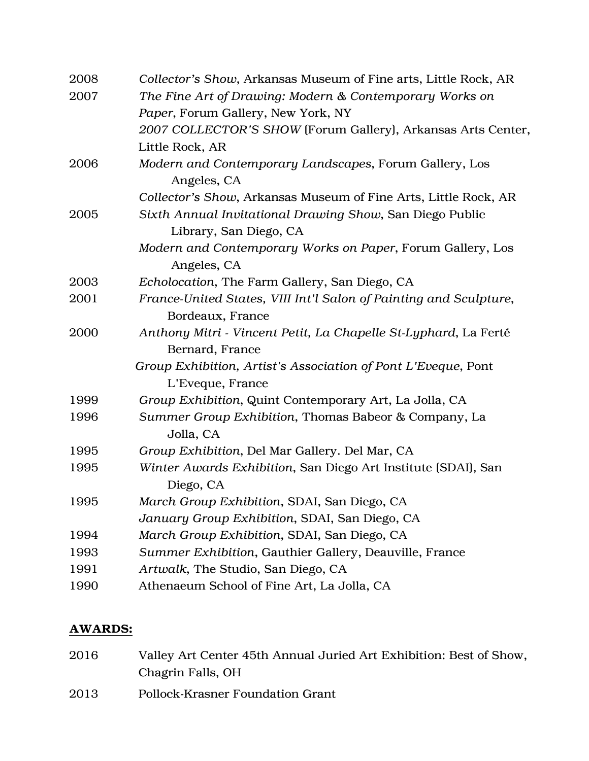| 2008 | Collector's Show, Arkansas Museum of Fine arts, Little Rock, AR   |
|------|-------------------------------------------------------------------|
| 2007 | The Fine Art of Drawing: Modern & Contemporary Works on           |
|      | Paper, Forum Gallery, New York, NY                                |
|      | 2007 COLLECTOR'S SHOW (Forum Gallery), Arkansas Arts Center,      |
|      | Little Rock, AR                                                   |
| 2006 | Modern and Contemporary Landscapes, Forum Gallery, Los            |
|      | Angeles, CA                                                       |
|      | Collector's Show, Arkansas Museum of Fine Arts, Little Rock, AR   |
| 2005 | Sixth Annual Invitational Drawing Show, San Diego Public          |
|      | Library, San Diego, CA                                            |
|      | Modern and Contemporary Works on Paper, Forum Gallery, Los        |
|      | Angeles, CA                                                       |
| 2003 | Echolocation, The Farm Gallery, San Diego, CA                     |
| 2001 | France-United States, VIII Int'l Salon of Painting and Sculpture, |
|      | Bordeaux, France                                                  |
| 2000 | Anthony Mitri - Vincent Petit, La Chapelle St-Lyphard, La Ferté   |
|      | Bernard, France                                                   |
|      | Group Exhibition, Artist's Association of Pont L'Eveque, Pont     |
|      | L'Eveque, France                                                  |
| 1999 | Group Exhibition, Quint Contemporary Art, La Jolla, CA            |
| 1996 | Summer Group Exhibition, Thomas Babeor & Company, La              |
|      | Jolla, CA                                                         |
| 1995 | Group Exhibition, Del Mar Gallery. Del Mar, CA                    |
| 1995 | Winter Awards Exhibition, San Diego Art Institute (SDAI), San     |
|      | Diego, CA                                                         |
| 1995 | March Group Exhibition, SDAI, San Diego, CA                       |
|      | January Group Exhibition, SDAI, San Diego, CA                     |
| 1994 | March Group Exhibition, SDAI, San Diego, CA                       |
| 1993 | Summer Exhibition, Gauthier Gallery, Deauville, France            |
| 1991 | Artwalk, The Studio, San Diego, CA                                |
| 1990 | Athenaeum School of Fine Art, La Jolla, CA                        |

## AWARDS:

| 2016 | Valley Art Center 45th Annual Juried Art Exhibition: Best of Show, |
|------|--------------------------------------------------------------------|
|      | Chagrin Falls, OH                                                  |
| 2013 | <b>Pollock-Krasner Foundation Grant</b>                            |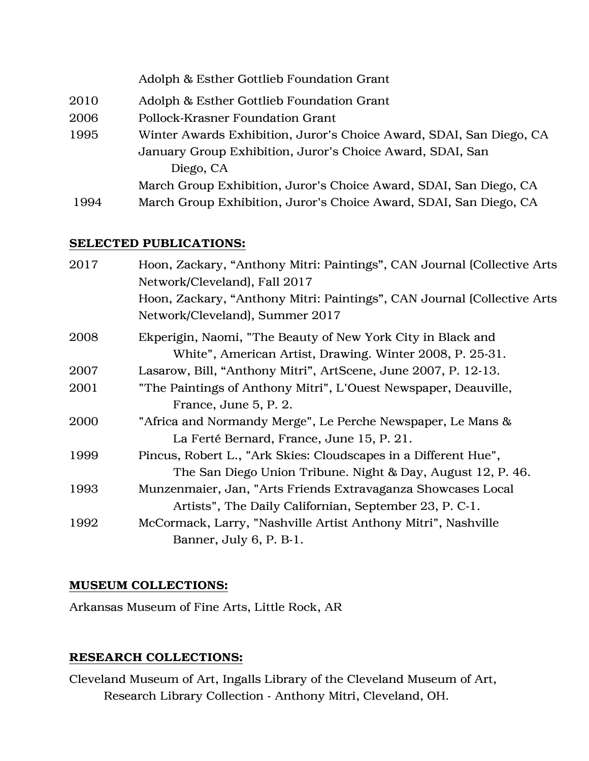|      | Adolph & Esther Gottlieb Foundation Grant                           |
|------|---------------------------------------------------------------------|
| 2010 | Adolph & Esther Gottlieb Foundation Grant                           |
| 2006 | Pollock-Krasner Foundation Grant                                    |
| 1995 | Winter Awards Exhibition, Juror's Choice Award, SDAI, San Diego, CA |
|      | January Group Exhibition, Juror's Choice Award, SDAI, San           |
|      | Diego, CA                                                           |
|      | March Group Exhibition, Juror's Choice Award, SDAI, San Diego, CA   |
| 1994 | March Group Exhibition, Juror's Choice Award, SDAI, San Diego, CA   |

## SELECTED PUBLICATIONS:

| Hoon, Zackary, "Anthony Mitri: Paintings", CAN Journal (Collective Arts<br>Network/Cleveland), Fall 2017                |
|-------------------------------------------------------------------------------------------------------------------------|
| Hoon, Zackary, "Anthony Mitri: Paintings", CAN Journal (Collective Arts<br>Network/Cleveland), Summer 2017              |
| Ekperigin, Naomi, "The Beauty of New York City in Black and<br>White", American Artist, Drawing. Winter 2008, P. 25-31. |
| Lasarow, Bill, "Anthony Mitri", ArtScene, June 2007, P. 12-13.                                                          |
| "The Paintings of Anthony Mitri", L'Ouest Newspaper, Deauville,                                                         |
| France, June 5, P. 2.                                                                                                   |
| "Africa and Normandy Merge", Le Perche Newspaper, Le Mans &                                                             |
| La Ferté Bernard, France, June 15, P. 21.                                                                               |
| Pincus, Robert L., "Ark Skies: Cloudscapes in a Different Hue",                                                         |
| The San Diego Union Tribune. Night & Day, August 12, P. 46.                                                             |
| Munzenmaier, Jan, "Arts Friends Extravaganza Showcases Local                                                            |
| Artists", The Daily Californian, September 23, P. C-1.                                                                  |
| McCormack, Larry, "Nashville Artist Anthony Mitri", Nashville                                                           |
| Banner, July 6, P. B-1.                                                                                                 |
|                                                                                                                         |

## MUSEUM COLLECTIONS:

Arkansas Museum of Fine Arts, Little Rock, AR

# RESEARCH COLLECTIONS:

Cleveland Museum of Art, Ingalls Library of the Cleveland Museum of Art, Research Library Collection - Anthony Mitri, Cleveland, OH.